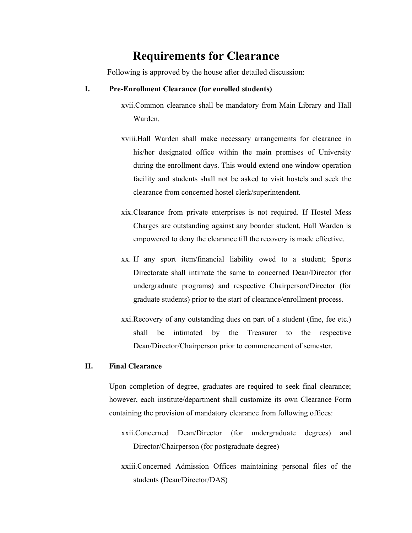# **Requirements for Clearance**

Following is approved by the house after detailed discussion:

## **I. Pre-Enrollment Clearance (for enrolled students)**

xvii.Common clearance shall be mandatory from Main Library and Hall Warden.

- xviii.Hall Warden shall make necessary arrangements for clearance in his/her designated office within the main premises of University during the enrollment days. This would extend one window operation facility and students shall not be asked to visit hostels and seek the clearance from concerned hostel clerk/superintendent.
- xix.Clearance from private enterprises is not required. If Hostel Mess Charges are outstanding against any boarder student, Hall Warden is empowered to deny the clearance till the recovery is made effective.
- xx. If any sport item/financial liability owed to a student; Sports Directorate shall intimate the same to concerned Dean/Director (for undergraduate programs) and respective Chairperson/Director (for graduate students) prior to the start of clearance/enrollment process.
- xxi.Recovery of any outstanding dues on part of a student (fine, fee etc.) shall be intimated by the Treasurer to the respective Dean/Director/Chairperson prior to commencement of semester.

#### **II. Final Clearance**

Upon completion of degree, graduates are required to seek final clearance; however, each institute/department shall customize its own Clearance Form containing the provision of mandatory clearance from following offices:

- xxii.Concerned Dean/Director (for undergraduate degrees) and Director/Chairperson (for postgraduate degree)
- xxiii.Concerned Admission Offices maintaining personal files of the students (Dean/Director/DAS)